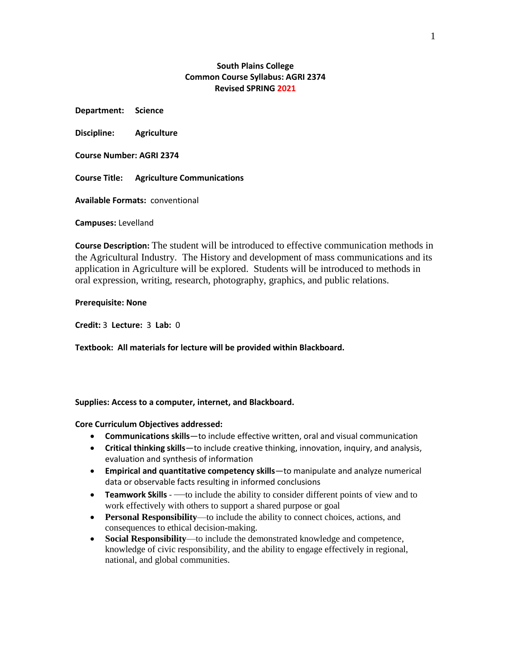# **South Plains College Common Course Syllabus: AGRI 2374 Revised SPRING 2021**

**Department: Science**

**Discipline: Agriculture** 

**Course Number: AGRI 2374**

**Course Title: Agriculture Communications**

**Available Formats:** conventional

**Campuses:** Levelland

**Course Description:** The student will be introduced to effective communication methods in the Agricultural Industry. The History and development of mass communications and its application in Agriculture will be explored. Students will be introduced to methods in oral expression, writing, research, photography, graphics, and public relations.

### **Prerequisite: None**

**Credit:** 3 **Lecture:** 3 **Lab:** 0

**Textbook: All materials for lecture will be provided within Blackboard.**

### **Supplies: Access to a computer, internet, and Blackboard.**

**Core Curriculum Objectives addressed:**

- **Communications skills**—to include effective written, oral and visual communication
- **Critical thinking skills**—to include creative thinking, innovation, inquiry, and analysis, evaluation and synthesis of information
- **Empirical and quantitative competency skills**—to manipulate and analyze numerical data or observable facts resulting in informed conclusions
- **Teamwork Skills** —to include the ability to consider different points of view and to work effectively with others to support a shared purpose or goal
- **Personal Responsibility**—to include the ability to connect choices, actions, and consequences to ethical decision-making.
- **Social Responsibility**—to include the demonstrated knowledge and competence, knowledge of civic responsibility, and the ability to engage effectively in regional, national, and global communities.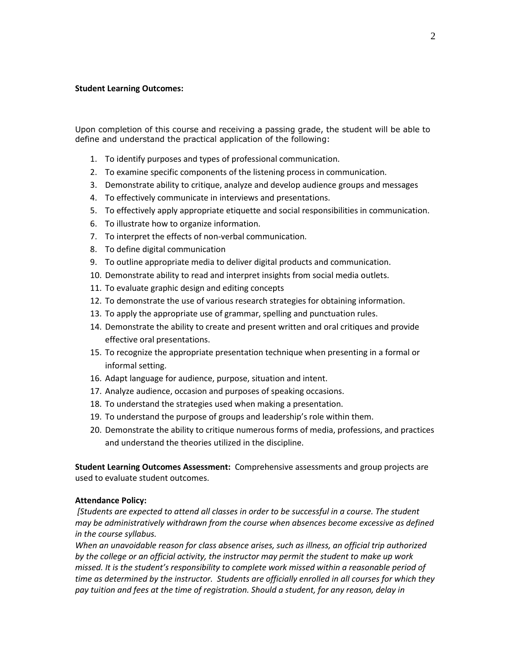### **Student Learning Outcomes:**

Upon completion of this course and receiving a passing grade, the student will be able to define and understand the practical application of the following:

- 1. To identify purposes and types of professional communication.
- 2. To examine specific components of the listening process in communication.
- 3. Demonstrate ability to critique, analyze and develop audience groups and messages
- 4. To effectively communicate in interviews and presentations.
- 5. To effectively apply appropriate etiquette and social responsibilities in communication.
- 6. To illustrate how to organize information.
- 7. To interpret the effects of non-verbal communication.
- 8. To define digital communication
- 9. To outline appropriate media to deliver digital products and communication.
- 10. Demonstrate ability to read and interpret insights from social media outlets.
- 11. To evaluate graphic design and editing concepts
- 12. To demonstrate the use of various research strategies for obtaining information.
- 13. To apply the appropriate use of grammar, spelling and punctuation rules.
- 14. Demonstrate the ability to create and present written and oral critiques and provide effective oral presentations.
- 15. To recognize the appropriate presentation technique when presenting in a formal or informal setting.
- 16. Adapt language for audience, purpose, situation and intent.
- 17. Analyze audience, occasion and purposes of speaking occasions.
- 18. To understand the strategies used when making a presentation.
- 19. To understand the purpose of groups and leadership's role within them.
- 20. Demonstrate the ability to critique numerous forms of media, professions, and practices and understand the theories utilized in the discipline.

**Student Learning Outcomes Assessment:** Comprehensive assessments and group projects are used to evaluate student outcomes.

## **Attendance Policy:**

*[Students are expected to attend all classes in order to be successful in a course. The student may be administratively withdrawn from the course when absences become excessive as defined in the course syllabus.*

*When an unavoidable reason for class absence arises, such as illness, an official trip authorized by the college or an official activity, the instructor may permit the student to make up work missed. It is the student's responsibility to complete work missed within a reasonable period of time as determined by the instructor. Students are officially enrolled in all courses for which they pay tuition and fees at the time of registration. Should a student, for any reason, delay in*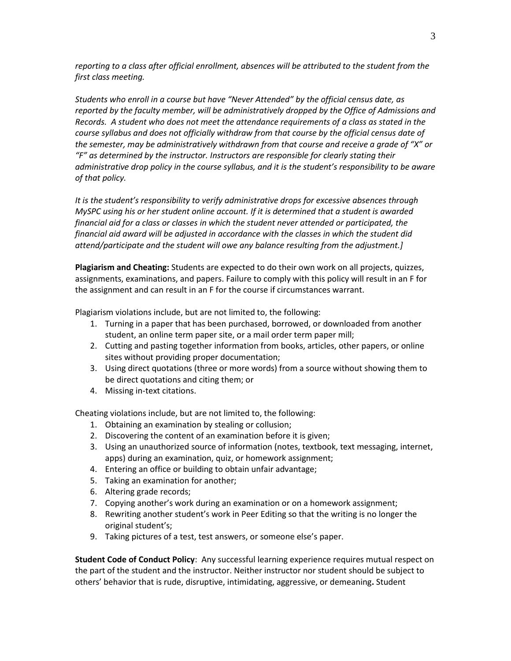*reporting to a class after official enrollment, absences will be attributed to the student from the first class meeting.*

*Students who enroll in a course but have "Never Attended" by the official census date, as reported by the faculty member, will be administratively dropped by the Office of Admissions and Records. A student who does not meet the attendance requirements of a class as stated in the course syllabus and does not officially withdraw from that course by the official census date of the semester, may be administratively withdrawn from that course and receive a grade of "X" or "F" as determined by the instructor. Instructors are responsible for clearly stating their administrative drop policy in the course syllabus, and it is the student's responsibility to be aware of that policy.* 

*It is the student's responsibility to verify administrative drops for excessive absences through MySPC using his or her student online account. If it is determined that a student is awarded financial aid for a class or classes in which the student never attended or participated, the financial aid award will be adjusted in accordance with the classes in which the student did attend/participate and the student will owe any balance resulting from the adjustment.]*

**Plagiarism and Cheating:** Students are expected to do their own work on all projects, quizzes, assignments, examinations, and papers. Failure to comply with this policy will result in an F for the assignment and can result in an F for the course if circumstances warrant.

Plagiarism violations include, but are not limited to, the following:

- 1. Turning in a paper that has been purchased, borrowed, or downloaded from another student, an online term paper site, or a mail order term paper mill;
- 2. Cutting and pasting together information from books, articles, other papers, or online sites without providing proper documentation;
- 3. Using direct quotations (three or more words) from a source without showing them to be direct quotations and citing them; or
- 4. Missing in-text citations.

Cheating violations include, but are not limited to, the following:

- 1. Obtaining an examination by stealing or collusion;
- 2. Discovering the content of an examination before it is given;
- 3. Using an unauthorized source of information (notes, textbook, text messaging, internet, apps) during an examination, quiz, or homework assignment;
- 4. Entering an office or building to obtain unfair advantage;
- 5. Taking an examination for another;
- 6. Altering grade records;
- 7. Copying another's work during an examination or on a homework assignment;
- 8. Rewriting another student's work in Peer Editing so that the writing is no longer the original student's;
- 9. Taking pictures of a test, test answers, or someone else's paper.

**Student Code of Conduct Policy**: Any successful learning experience requires mutual respect on the part of the student and the instructor. Neither instructor nor student should be subject to others' behavior that is rude, disruptive, intimidating, aggressive, or demeaning**.** Student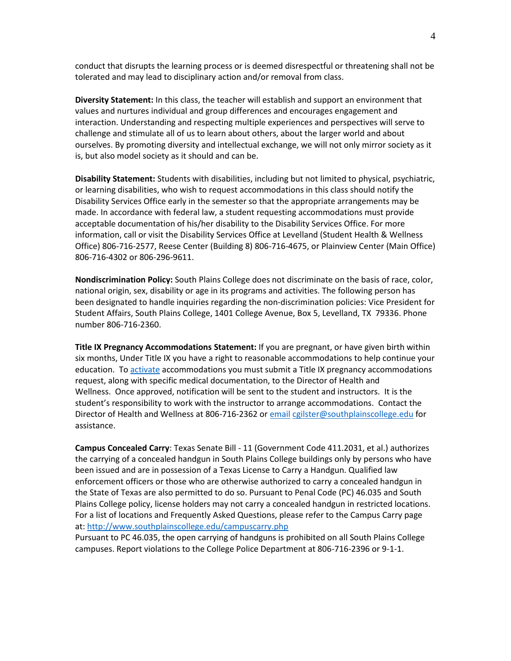conduct that disrupts the learning process or is deemed disrespectful or threatening shall not be tolerated and may lead to disciplinary action and/or removal from class.

**Diversity Statement:** In this class, the teacher will establish and support an environment that values and nurtures individual and group differences and encourages engagement and interaction. Understanding and respecting multiple experiences and perspectives will serve to challenge and stimulate all of us to learn about others, about the larger world and about ourselves. By promoting diversity and intellectual exchange, we will not only mirror society as it is, but also model society as it should and can be.

**Disability Statement:** Students with disabilities, including but not limited to physical, psychiatric, or learning disabilities, who wish to request accommodations in this class should notify the Disability Services Office early in the semester so that the appropriate arrangements may be made. In accordance with federal law, a student requesting accommodations must provide acceptable documentation of his/her disability to the Disability Services Office. For more information, call or visit the Disability Services Office at Levelland (Student Health & Wellness Office) 806-716-2577, Reese Center (Building 8) 806-716-4675, or Plainview Center (Main Office) 806-716-4302 or 806-296-9611.

**Nondiscrimination Policy:** South Plains College does not discriminate on the basis of race, color, national origin, sex, disability or age in its programs and activities. The following person has been designated to handle inquiries regarding the non-discrimination policies: Vice President for Student Affairs, South Plains College, 1401 College Avenue, Box 5, Levelland, TX 79336. Phone number 806-716-2360.

**Title IX Pregnancy Accommodations Statement:** If you are pregnant, or have given birth within six months, Under Title IX you have a right to reasonable accommodations to help continue your education. To [activate](http://www.southplainscollege.edu/employees/manualshandbooks/facultyhandbook/sec4.php) accommodations you must submit a Title IX pregnancy accommodations request, along with specific medical documentation, to the Director of Health and Wellness. Once approved, notification will be sent to the student and instructors. It is the student's responsibility to work with the instructor to arrange accommodations. Contact the Director of Health and Wellness at 806-716-2362 or [email](http://www.southplainscollege.edu/employees/manualshandbooks/facultyhandbook/sec4.php) [cgilster@southplainscollege.edu](mailto:cgilster@southplainscollege.edu) for assistance.

**Campus Concealed Carry**: Texas Senate Bill - 11 (Government Code 411.2031, et al.) authorizes the carrying of a concealed handgun in South Plains College buildings only by persons who have been issued and are in possession of a Texas License to Carry a Handgun. Qualified law enforcement officers or those who are otherwise authorized to carry a concealed handgun in the State of Texas are also permitted to do so. Pursuant to Penal Code (PC) 46.035 and South Plains College policy, license holders may not carry a concealed handgun in restricted locations. For a list of locations and Frequently Asked Questions, please refer to the Campus Carry page at: <http://www.southplainscollege.edu/campuscarry.php>

Pursuant to PC 46.035, the open carrying of handguns is prohibited on all South Plains College campuses. Report violations to the College Police Department at 806-716-2396 or 9-1-1.